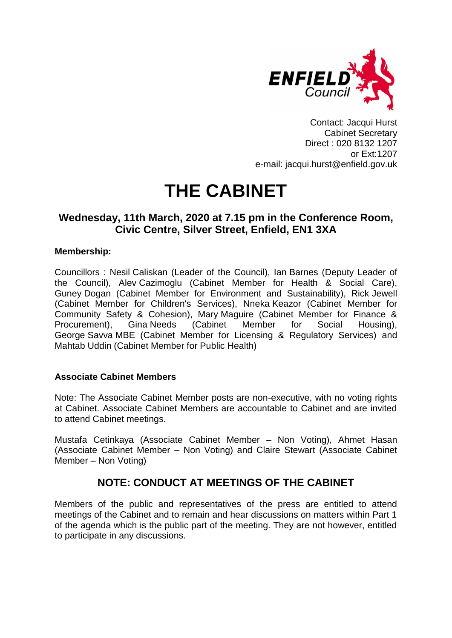

Contact: Jacqui Hurst Cabinet Secretary Direct : 020 8132 1207 or Ext:1207 e-mail: jacqui.hurst@enfield.gov.uk

# **THE CABINET**

# **Wednesday, 11th March, 2020 at 7.15 pm in the Conference Room, Civic Centre, Silver Street, Enfield, EN1 3XA**

# **Membership:**

Councillors : Nesil Caliskan (Leader of the Council), Ian Barnes (Deputy Leader of the Council), Alev Cazimoglu (Cabinet Member for Health & Social Care), Guney Dogan (Cabinet Member for Environment and Sustainability), Rick Jewell (Cabinet Member for Children's Services), Nneka Keazor (Cabinet Member for Community Safety & Cohesion), Mary Maguire (Cabinet Member for Finance & Procurement), Gina Needs (Cabinet Member for Social Housing), George Savva MBE (Cabinet Member for Licensing & Regulatory Services) and Mahtab Uddin (Cabinet Member for Public Health)

# **Associate Cabinet Members**

Note: The Associate Cabinet Member posts are non-executive, with no voting rights at Cabinet. Associate Cabinet Members are accountable to Cabinet and are invited to attend Cabinet meetings.

Mustafa Cetinkaya (Associate Cabinet Member – Non Voting), Ahmet Hasan (Associate Cabinet Member – Non Voting) and Claire Stewart (Associate Cabinet Member – Non Voting)

# **NOTE: CONDUCT AT MEETINGS OF THE CABINET**

Members of the public and representatives of the press are entitled to attend meetings of the Cabinet and to remain and hear discussions on matters within Part 1 of the agenda which is the public part of the meeting. They are not however, entitled to participate in any discussions.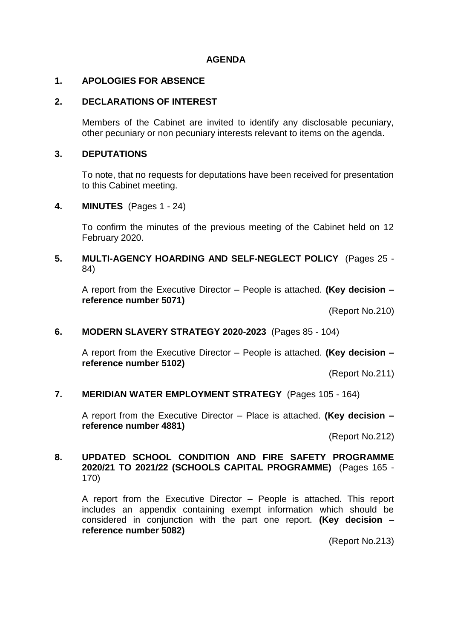### **AGENDA**

#### **1. APOLOGIES FOR ABSENCE**

#### **2. DECLARATIONS OF INTEREST**

Members of the Cabinet are invited to identify any disclosable pecuniary, other pecuniary or non pecuniary interests relevant to items on the agenda.

#### **3. DEPUTATIONS**

To note, that no requests for deputations have been received for presentation to this Cabinet meeting.

#### **4. MINUTES** (Pages 1 - 24)

To confirm the minutes of the previous meeting of the Cabinet held on 12 February 2020.

### **5. MULTI-AGENCY HOARDING AND SELF-NEGLECT POLICY** (Pages 25 - 84)

A report from the Executive Director – People is attached. **(Key decision – reference number 5071)** 

(Report No.210)

#### **6. MODERN SLAVERY STRATEGY 2020-2023** (Pages 85 - 104)

A report from the Executive Director – People is attached. **(Key decision – reference number 5102)**

(Report No.211)

#### **7. MERIDIAN WATER EMPLOYMENT STRATEGY** (Pages 105 - 164)

A report from the Executive Director – Place is attached. **(Key decision – reference number 4881)**

(Report No.212)

#### **8. UPDATED SCHOOL CONDITION AND FIRE SAFETY PROGRAMME 2020/21 TO 2021/22 (SCHOOLS CAPITAL PROGRAMME)** (Pages 165 - 170)

A report from the Executive Director – People is attached. This report includes an appendix containing exempt information which should be considered in conjunction with the part one report. **(Key decision – reference number 5082)**

(Report No.213)